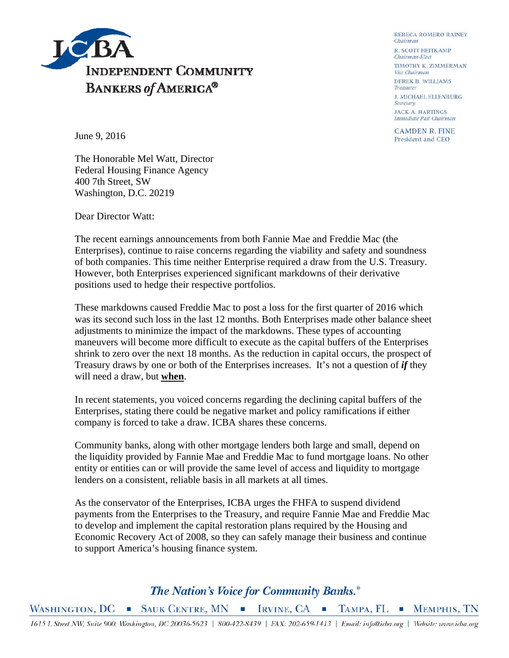

REBECA ROMERO RAINEY Chairman R. SCOTT HEITKAMP Chairman-Elect TIMOTHY K. ZIMMERMAN Vice Chairman DEREK B. WILLIAMS Treasurer **J. MICHAEL ELLENBURG** Secretary **JACK A. HARTINGS** Immediate Past Chairman

**CAMDEN R. FINE** President and CEO

June 9, 2016

The Honorable Mel Watt, Director Federal Housing Finance Agency 400 7th Street, SW Washington, D.C. 20219

Dear Director Watt:

The recent earnings announcements from both Fannie Mae and Freddie Mac (the Enterprises), continue to raise concerns regarding the viability and safety and soundness of both companies. This time neither Enterprise required a draw from the U.S. Treasury. However, both Enterprises experienced significant markdowns of their derivative positions used to hedge their respective portfolios.

These markdowns caused Freddie Mac to post a loss for the first quarter of 2016 which was its second such loss in the last 12 months. Both Enterprises made other balance sheet adjustments to minimize the impact of the markdowns. These types of accounting maneuvers will become more difficult to execute as the capital buffers of the Enterprises shrink to zero over the next 18 months. As the reduction in capital occurs, the prospect of Treasury draws by one or both of the Enterprises increases. It's not a question of *if* they will need a draw, but **when**.

In recent statements, you voiced concerns regarding the declining capital buffers of the Enterprises, stating there could be negative market and policy ramifications if either company is forced to take a draw. ICBA shares these concerns.

Community banks, along with other mortgage lenders both large and small, depend on the liquidity provided by Fannie Mae and Freddie Mac to fund mortgage loans. No other entity or entities can or will provide the same level of access and liquidity to mortgage lenders on a consistent, reliable basis in all markets at all times.

As the conservator of the Enterprises, ICBA urges the FHFA to suspend dividend payments from the Enterprises to the Treasury, and require Fannie Mae and Freddie Mac to develop and implement the capital restoration plans required by the Housing and Economic Recovery Act of 2008, so they can safely manage their business and continue to support America's housing finance system.

The Nation's Voice for Community Banks.®

WASHINGTON, DC • SAUK CENTRE, MN • IRVINE, CA • TAMPA, FL • MEMPHIS, TN